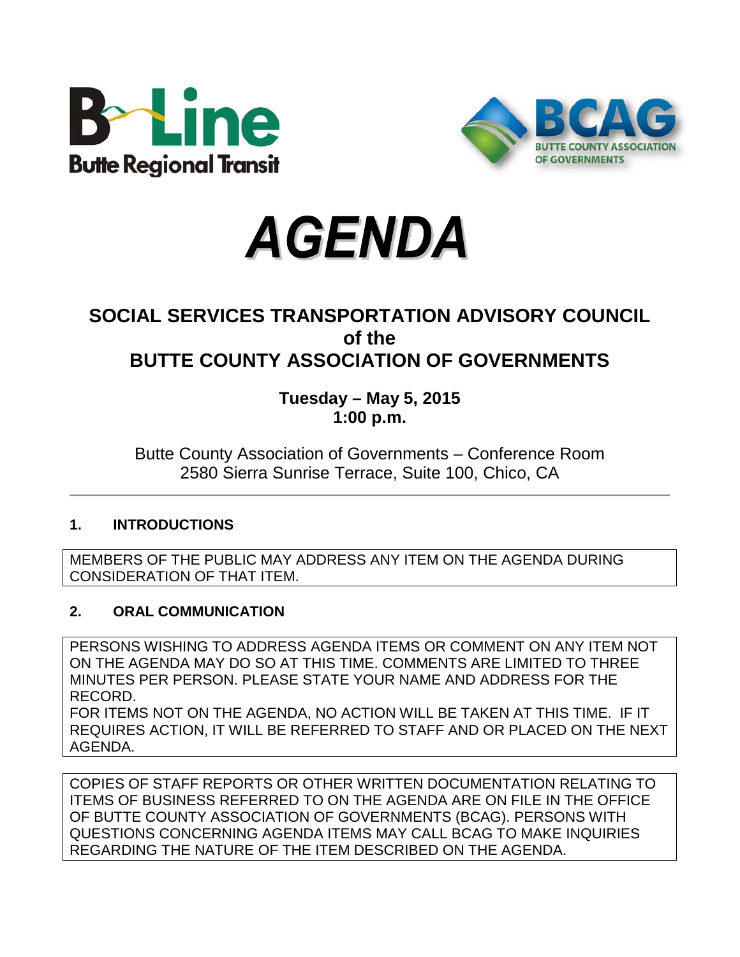





## **SOCIAL SERVICES TRANSPORTATION ADVISORY COUNCIL of the BUTTE COUNTY ASSOCIATION OF GOVERNMENTS**

## **Tuesday – May 5, 2015 1:00 p.m.**

## Butte County Association of Governments – Conference Room 2580 Sierra Sunrise Terrace, Suite 100, Chico, CA

## **1. INTRODUCTIONS**

MEMBERS OF THE PUBLIC MAY ADDRESS ANY ITEM ON THE AGENDA DURING CONSIDERATION OF THAT ITEM.

## **2. ORAL COMMUNICATION**

PERSONS WISHING TO ADDRESS AGENDA ITEMS OR COMMENT ON ANY ITEM NOT ON THE AGENDA MAY DO SO AT THIS TIME. COMMENTS ARE LIMITED TO THREE MINUTES PER PERSON. PLEASE STATE YOUR NAME AND ADDRESS FOR THE RECORD.

FOR ITEMS NOT ON THE AGENDA, NO ACTION WILL BE TAKEN AT THIS TIME. IF IT REQUIRES ACTION, IT WILL BE REFERRED TO STAFF AND OR PLACED ON THE NEXT AGENDA.

COPIES OF STAFF REPORTS OR OTHER WRITTEN DOCUMENTATION RELATING TO ITEMS OF BUSINESS REFERRED TO ON THE AGENDA ARE ON FILE IN THE OFFICE OF BUTTE COUNTY ASSOCIATION OF GOVERNMENTS (BCAG). PERSONS WITH QUESTIONS CONCERNING AGENDA ITEMS MAY CALL BCAG TO MAKE INQUIRIES REGARDING THE NATURE OF THE ITEM DESCRIBED ON THE AGENDA.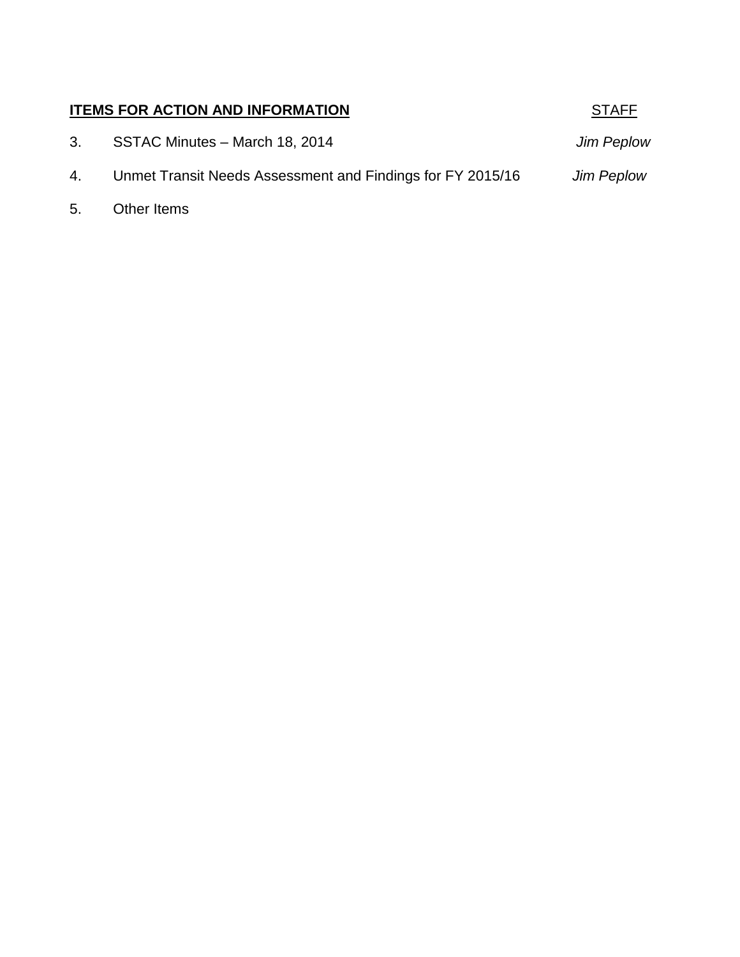## **ITEMS FOR ACTION AND INFORMATION STAFF**

3. SSTAC Minutes – March 18, 2014 *Jim Peplow*

- 4. Unmet Transit Needs Assessment and Findings for FY 2015/16 *Jim Peplow*
- 5. **Other Items**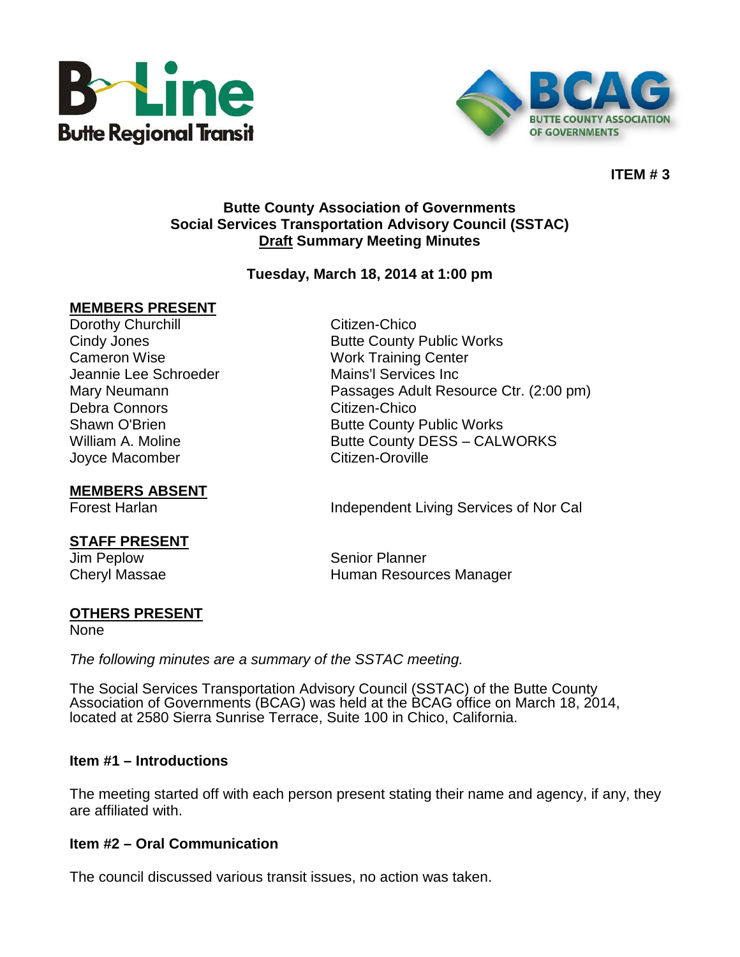



#### **ITEM # 3**

#### **Butte County Association of Governments Social Services Transportation Advisory Council (SSTAC) Draft Summary Meeting Minutes**

#### **Tuesday, March 18, 2014 at 1:00 pm**

#### **MEMBERS PRESENT**

Dorothy Churchill **Citizen-Chico** Cameron Wise Work Training Center Jeannie Lee Schroeder Mains'l Services Inc Debra Connors Citizen-Chico Joyce Macomber Citizen-Oroville

**MEMBERS ABSENT**

# **STAFF PRESENT**

Cindy Jones **Butte County Public Works** Mary Neumann Passages Adult Resource Ctr. (2:00 pm) Shawn O'Brien **Butte County Public Works** William A. Moline **Butte County DESS – CALWORKS** 

Forest Harlan **Independent Living Services of Nor Cal** 

Senior Planner Cheryl Massae **Human Resources Manager Human Resources** Manager

#### **OTHERS PRESENT**

None

*The following minutes are a summary of the SSTAC meeting.* 

The Social Services Transportation Advisory Council (SSTAC) of the Butte County Association of Governments (BCAG) was held at the BCAG office on March 18, 2014, located at 2580 Sierra Sunrise Terrace, Suite 100 in Chico, California.

#### **Item #1 – Introductions**

The meeting started off with each person present stating their name and agency, if any, they are affiliated with.

#### **Item #2 – Oral Communication**

The council discussed various transit issues, no action was taken.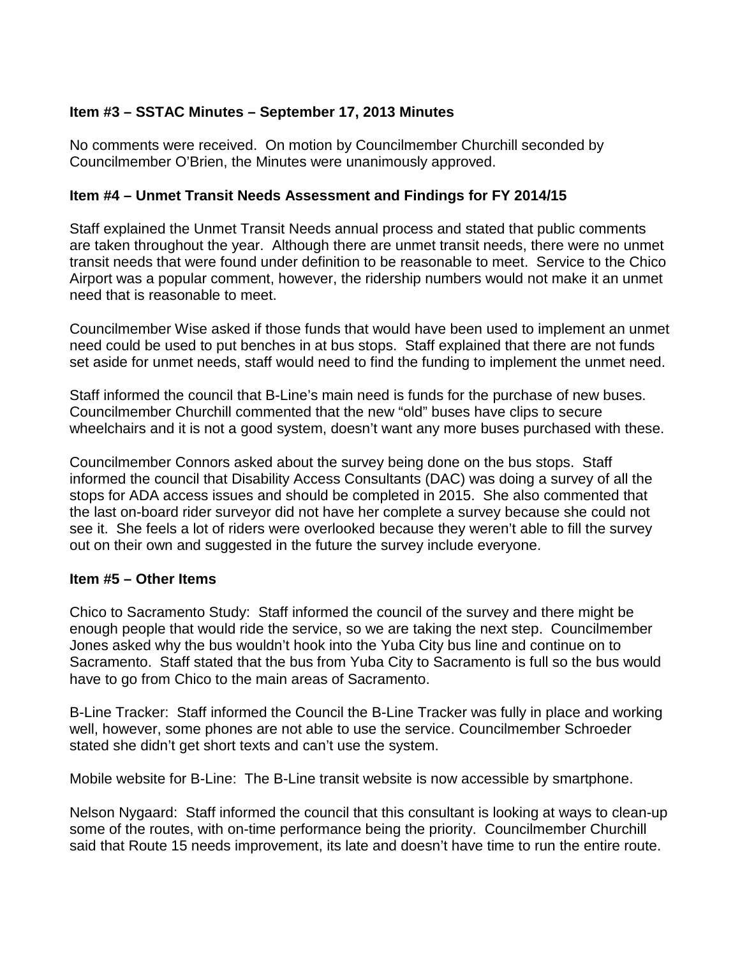#### **Item #3 – SSTAC Minutes – September 17, 2013 Minutes**

No comments were received. On motion by Councilmember Churchill seconded by Councilmember O'Brien, the Minutes were unanimously approved.

#### **Item #4 – Unmet Transit Needs Assessment and Findings for FY 2014/15**

Staff explained the Unmet Transit Needs annual process and stated that public comments are taken throughout the year. Although there are unmet transit needs, there were no unmet transit needs that were found under definition to be reasonable to meet. Service to the Chico Airport was a popular comment, however, the ridership numbers would not make it an unmet need that is reasonable to meet.

Councilmember Wise asked if those funds that would have been used to implement an unmet need could be used to put benches in at bus stops. Staff explained that there are not funds set aside for unmet needs, staff would need to find the funding to implement the unmet need.

Staff informed the council that B-Line's main need is funds for the purchase of new buses. Councilmember Churchill commented that the new "old" buses have clips to secure wheelchairs and it is not a good system, doesn't want any more buses purchased with these.

Councilmember Connors asked about the survey being done on the bus stops. Staff informed the council that Disability Access Consultants (DAC) was doing a survey of all the stops for ADA access issues and should be completed in 2015. She also commented that the last on-board rider surveyor did not have her complete a survey because she could not see it. She feels a lot of riders were overlooked because they weren't able to fill the survey out on their own and suggested in the future the survey include everyone.

#### **Item #5 – Other Items**

Chico to Sacramento Study: Staff informed the council of the survey and there might be enough people that would ride the service, so we are taking the next step. Councilmember Jones asked why the bus wouldn't hook into the Yuba City bus line and continue on to Sacramento. Staff stated that the bus from Yuba City to Sacramento is full so the bus would have to go from Chico to the main areas of Sacramento.

B-Line Tracker: Staff informed the Council the B-Line Tracker was fully in place and working well, however, some phones are not able to use the service. Councilmember Schroeder stated she didn't get short texts and can't use the system.

Mobile website for B-Line: The B-Line transit website is now accessible by smartphone.

Nelson Nygaard: Staff informed the council that this consultant is looking at ways to clean-up some of the routes, with on-time performance being the priority. Councilmember Churchill said that Route 15 needs improvement, its late and doesn't have time to run the entire route.